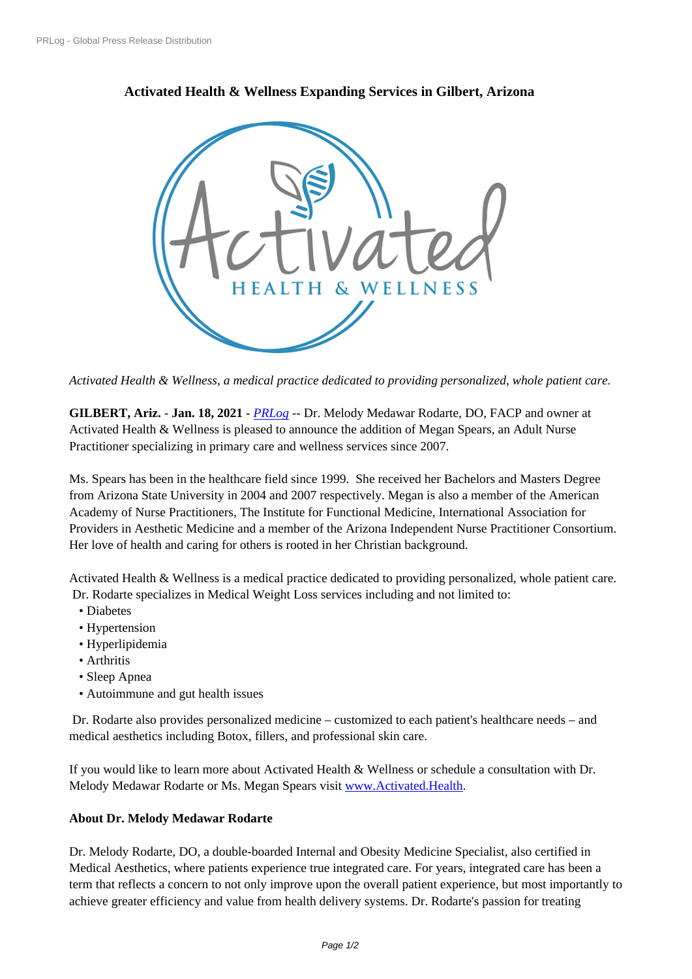## **[Activated Heal](https://www.prlog.org/)th & Wellness Expanding Services in Gilbert, Arizona**



*Activated Healt[h & Wellness, a medical practice dedicated to providing personalized](https://www.prlog.org/12854198-inspired-by-you.png), whole patient care.*

**GILBERT, Ariz.** - **Jan. 18, 2021** - *PRLog* -- Dr. Melody Medawar Rodarte, DO, FACP and owner at Activated Health & Wellness is pleased to announce the addition of Megan Spears, an Adult Nurse Practitioner specializing in primary care and wellness services since 2007.

Ms. Spears has been in the healthca[re field](https://www.prlog.org) since 1999. She received her Bachelors and Masters Degree from Arizona State University in 2004 and 2007 respectively. Megan is also a member of the American Academy of Nurse Practitioners, The Institute for Functional Medicine, International Association for Providers in Aesthetic Medicine and a member of the Arizona Independent Nurse Practitioner Consortium. Her love of health and caring for others is rooted in her Christian background.

Activated Health & Wellness is a medical practice dedicated to providing personalized, whole patient care. Dr. Rodarte specializes in Medical Weight Loss services including and not limited to:

- Diabetes
- Hypertension
- Hyperlipidemia
- Arthritis
- Sleep Apnea
- Autoimmune and gut health issues

 Dr. Rodarte also provides personalized medicine – customized to each patient's healthcare needs – and medical aesthetics including Botox, fillers, and professional skin care.

If you would like to learn more about Activated Health & Wellness or schedule a consultation with Dr. Melody Medawar Rodarte or Ms. Megan Spears visit www.Activated.Health.

## **About Dr. Melody Medawar Rodarte**

Dr. Melody Rodarte, DO, a double-boarded Internal a[nd Obesity Medicine Sp](http://www.activated.health/)ecialist, also certified in Medical Aesthetics, where patients experience true integrated care. For years, integrated care has been a term that reflects a concern to not only improve upon the overall patient experience, but most importantly to achieve greater efficiency and value from health delivery systems. Dr. Rodarte's passion for treating